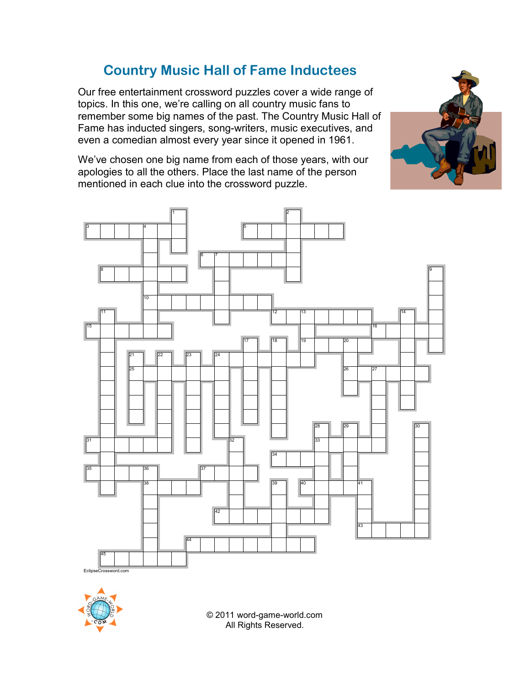## **Country Music Hall of Fame Inductees**

Our free entertainment crossword puzzles cover a wide range of topics. In this one, we're calling on all country music fans to remember some big names of the past. The Country Music Hall of Fame has inducted singers, song-writers, music executives, and even a comedian almost every year since it opened in 1961.

We've chosen one big name from each of those years, with our apologies to all the others. Place the last name of the person mentioned in each clue into the crossword puzzle.





© 2011 word-game-world.com All Rights Reserved.